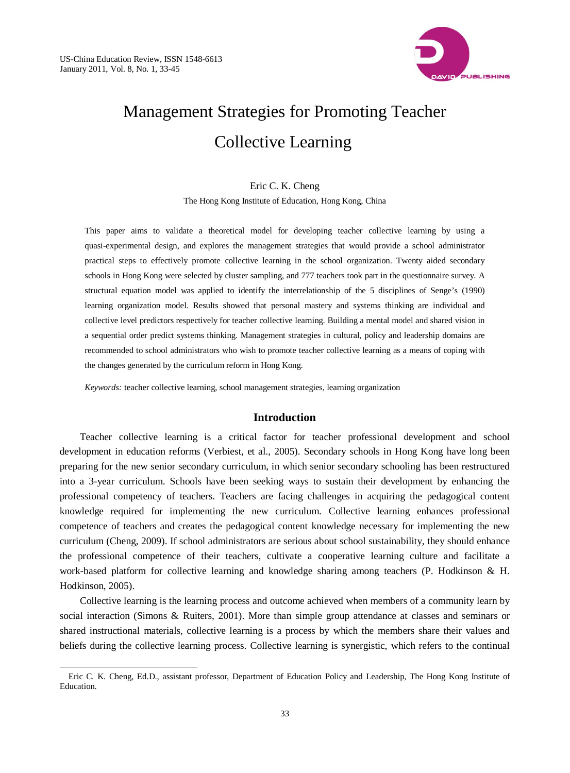l



# Management Strategies for Promoting Teacher Collective Learning

#### Eric C. K. Cheng

The Hong Kong Institute of Education, Hong Kong, China

This paper aims to validate a theoretical model for developing teacher collective learning by using a quasi-experimental design, and explores the management strategies that would provide a school administrator practical steps to effectively promote collective learning in the school organization. Twenty aided secondary schools in Hong Kong were selected by cluster sampling, and 777 teachers took part in the questionnaire survey. A structural equation model was applied to identify the interrelationship of the 5 disciplines of Senge's (1990) learning organization model. Results showed that personal mastery and systems thinking are individual and collective level predictors respectively for teacher collective learning. Building a mental model and shared vision in a sequential order predict systems thinking. Management strategies in cultural, policy and leadership domains are recommended to school administrators who wish to promote teacher collective learning as a means of coping with the changes generated by the curriculum reform in Hong Kong.

*Keywords:* teacher collective learning, school management strategies, learning organization

# **Introduction**

Teacher collective learning is a critical factor for teacher professional development and school development in education reforms (Verbiest, et al., 2005). Secondary schools in Hong Kong have long been preparing for the new senior secondary curriculum, in which senior secondary schooling has been restructured into a 3-year curriculum. Schools have been seeking ways to sustain their development by enhancing the professional competency of teachers. Teachers are facing challenges in acquiring the pedagogical content knowledge required for implementing the new curriculum. Collective learning enhances professional competence of teachers and creates the pedagogical content knowledge necessary for implementing the new curriculum (Cheng, 2009). If school administrators are serious about school sustainability, they should enhance the professional competence of their teachers, cultivate a cooperative learning culture and facilitate a work-based platform for collective learning and knowledge sharing among teachers (P. Hodkinson & H. Hodkinson, 2005).

Collective learning is the learning process and outcome achieved when members of a community learn by social interaction (Simons & Ruiters, 2001). More than simple group attendance at classes and seminars or shared instructional materials, collective learning is a process by which the members share their values and beliefs during the collective learning process. Collective learning is synergistic, which refers to the continual

Eric C. K. Cheng, Ed.D., assistant professor, Department of Education Policy and Leadership, The Hong Kong Institute of **Education**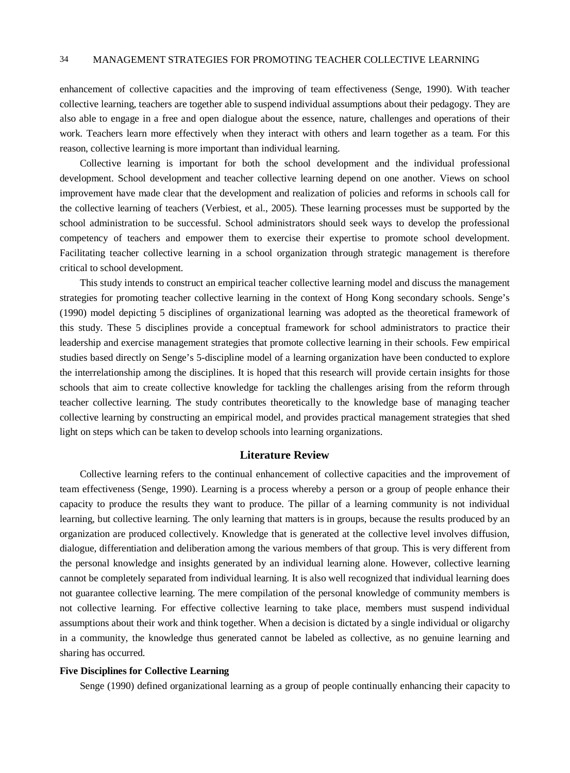enhancement of collective capacities and the improving of team effectiveness (Senge, 1990). With teacher collective learning, teachers are together able to suspend individual assumptions about their pedagogy. They are also able to engage in a free and open dialogue about the essence, nature, challenges and operations of their work. Teachers learn more effectively when they interact with others and learn together as a team. For this reason, collective learning is more important than individual learning.

Collective learning is important for both the school development and the individual professional development. School development and teacher collective learning depend on one another. Views on school improvement have made clear that the development and realization of policies and reforms in schools call for the collective learning of teachers (Verbiest, et al., 2005). These learning processes must be supported by the school administration to be successful. School administrators should seek ways to develop the professional competency of teachers and empower them to exercise their expertise to promote school development. Facilitating teacher collective learning in a school organization through strategic management is therefore critical to school development.

This study intends to construct an empirical teacher collective learning model and discuss the management strategies for promoting teacher collective learning in the context of Hong Kong secondary schools. Senge's (1990) model depicting 5 disciplines of organizational learning was adopted as the theoretical framework of this study. These 5 disciplines provide a conceptual framework for school administrators to practice their leadership and exercise management strategies that promote collective learning in their schools. Few empirical studies based directly on Senge's 5-discipline model of a learning organization have been conducted to explore the interrelationship among the disciplines. It is hoped that this research will provide certain insights for those schools that aim to create collective knowledge for tackling the challenges arising from the reform through teacher collective learning. The study contributes theoretically to the knowledge base of managing teacher collective learning by constructing an empirical model, and provides practical management strategies that shed light on steps which can be taken to develop schools into learning organizations.

# **Literature Review**

Collective learning refers to the continual enhancement of collective capacities and the improvement of team effectiveness (Senge, 1990). Learning is a process whereby a person or a group of people enhance their capacity to produce the results they want to produce. The pillar of a learning community is not individual learning, but collective learning. The only learning that matters is in groups, because the results produced by an organization are produced collectively. Knowledge that is generated at the collective level involves diffusion, dialogue, differentiation and deliberation among the various members of that group. This is very different from the personal knowledge and insights generated by an individual learning alone. However, collective learning cannot be completely separated from individual learning. It is also well recognized that individual learning does not guarantee collective learning. The mere compilation of the personal knowledge of community members is not collective learning. For effective collective learning to take place, members must suspend individual assumptions about their work and think together. When a decision is dictated by a single individual or oligarchy in a community, the knowledge thus generated cannot be labeled as collective, as no genuine learning and sharing has occurred.

#### **Five Disciplines for Collective Learning**

Senge (1990) defined organizational learning as a group of people continually enhancing their capacity to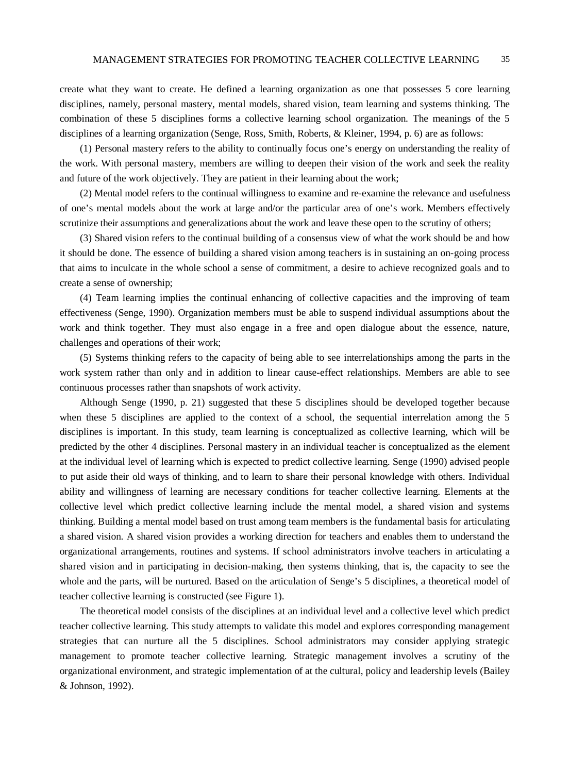create what they want to create. He defined a learning organization as one that possesses 5 core learning disciplines, namely, personal mastery, mental models, shared vision, team learning and systems thinking. The combination of these 5 disciplines forms a collective learning school organization. The meanings of the 5 disciplines of a learning organization (Senge, Ross, Smith, Roberts, & Kleiner, 1994, p. 6) are as follows:

(1) Personal mastery refers to the ability to continually focus one's energy on understanding the reality of the work. With personal mastery, members are willing to deepen their vision of the work and seek the reality and future of the work objectively. They are patient in their learning about the work;

(2) Mental model refers to the continual willingness to examine and re-examine the relevance and usefulness of one's mental models about the work at large and/or the particular area of one's work. Members effectively scrutinize their assumptions and generalizations about the work and leave these open to the scrutiny of others;

(3) Shared vision refers to the continual building of a consensus view of what the work should be and how it should be done. The essence of building a shared vision among teachers is in sustaining an on-going process that aims to inculcate in the whole school a sense of commitment, a desire to achieve recognized goals and to create a sense of ownership;

(4) Team learning implies the continual enhancing of collective capacities and the improving of team effectiveness (Senge, 1990). Organization members must be able to suspend individual assumptions about the work and think together. They must also engage in a free and open dialogue about the essence, nature, challenges and operations of their work;

(5) Systems thinking refers to the capacity of being able to see interrelationships among the parts in the work system rather than only and in addition to linear cause-effect relationships. Members are able to see continuous processes rather than snapshots of work activity.

Although Senge (1990, p. 21) suggested that these 5 disciplines should be developed together because when these 5 disciplines are applied to the context of a school, the sequential interrelation among the 5 disciplines is important. In this study, team learning is conceptualized as collective learning, which will be predicted by the other 4 disciplines. Personal mastery in an individual teacher is conceptualized as the element at the individual level of learning which is expected to predict collective learning. Senge (1990) advised people to put aside their old ways of thinking, and to learn to share their personal knowledge with others. Individual ability and willingness of learning are necessary conditions for teacher collective learning. Elements at the collective level which predict collective learning include the mental model, a shared vision and systems thinking. Building a mental model based on trust among team members is the fundamental basis for articulating a shared vision. A shared vision provides a working direction for teachers and enables them to understand the organizational arrangements, routines and systems. If school administrators involve teachers in articulating a shared vision and in participating in decision-making, then systems thinking, that is, the capacity to see the whole and the parts, will be nurtured. Based on the articulation of Senge's 5 disciplines, a theoretical model of teacher collective learning is constructed (see Figure 1).

The theoretical model consists of the disciplines at an individual level and a collective level which predict teacher collective learning. This study attempts to validate this model and explores corresponding management strategies that can nurture all the 5 disciplines. School administrators may consider applying strategic management to promote teacher collective learning. Strategic management involves a scrutiny of the organizational environment, and strategic implementation of at the cultural, policy and leadership levels (Bailey & Johnson, 1992).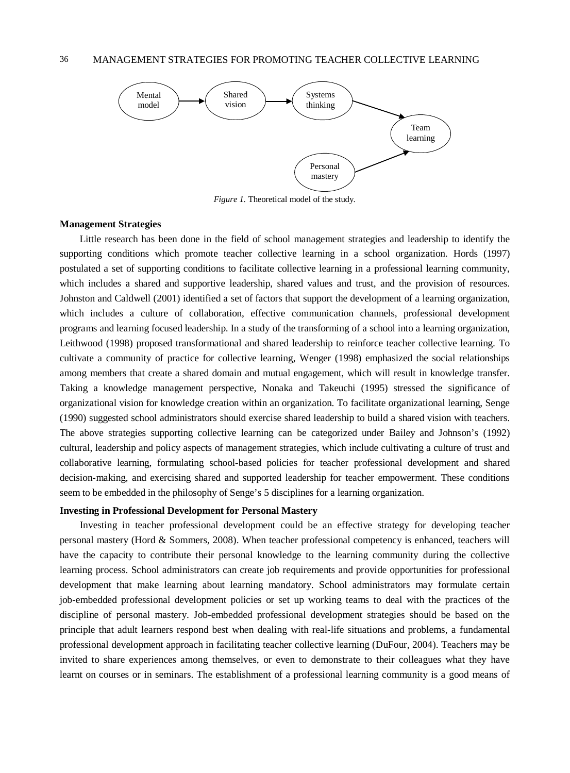

*Figure 1.* Theoretical model of the study.

#### **Management Strategies**

Little research has been done in the field of school management strategies and leadership to identify the supporting conditions which promote teacher collective learning in a school organization. Hords (1997) postulated a set of supporting conditions to facilitate collective learning in a professional learning community, which includes a shared and supportive leadership, shared values and trust, and the provision of resources. Johnston and Caldwell (2001) identified a set of factors that support the development of a learning organization, which includes a culture of collaboration, effective communication channels, professional development programs and learning focused leadership. In a study of the transforming of a school into a learning organization, Leithwood (1998) proposed transformational and shared leadership to reinforce teacher collective learning. To cultivate a community of practice for collective learning, Wenger (1998) emphasized the social relationships among members that create a shared domain and mutual engagement, which will result in knowledge transfer. Taking a knowledge management perspective, Nonaka and Takeuchi (1995) stressed the significance of organizational vision for knowledge creation within an organization. To facilitate organizational learning, Senge (1990) suggested school administrators should exercise shared leadership to build a shared vision with teachers. The above strategies supporting collective learning can be categorized under Bailey and Johnson's (1992) cultural, leadership and policy aspects of management strategies, which include cultivating a culture of trust and collaborative learning, formulating school-based policies for teacher professional development and shared decision-making, and exercising shared and supported leadership for teacher empowerment. These conditions seem to be embedded in the philosophy of Senge's 5 disciplines for a learning organization.

#### **Investing in Professional Development for Personal Mastery**

Investing in teacher professional development could be an effective strategy for developing teacher personal mastery (Hord & Sommers, 2008). When teacher professional competency is enhanced, teachers will have the capacity to contribute their personal knowledge to the learning community during the collective learning process. School administrators can create job requirements and provide opportunities for professional development that make learning about learning mandatory. School administrators may formulate certain job-embedded professional development policies or set up working teams to deal with the practices of the discipline of personal mastery. Job-embedded professional development strategies should be based on the principle that adult learners respond best when dealing with real-life situations and problems, a fundamental professional development approach in facilitating teacher collective learning (DuFour, 2004). Teachers may be invited to share experiences among themselves, or even to demonstrate to their colleagues what they have learnt on courses or in seminars. The establishment of a professional learning community is a good means of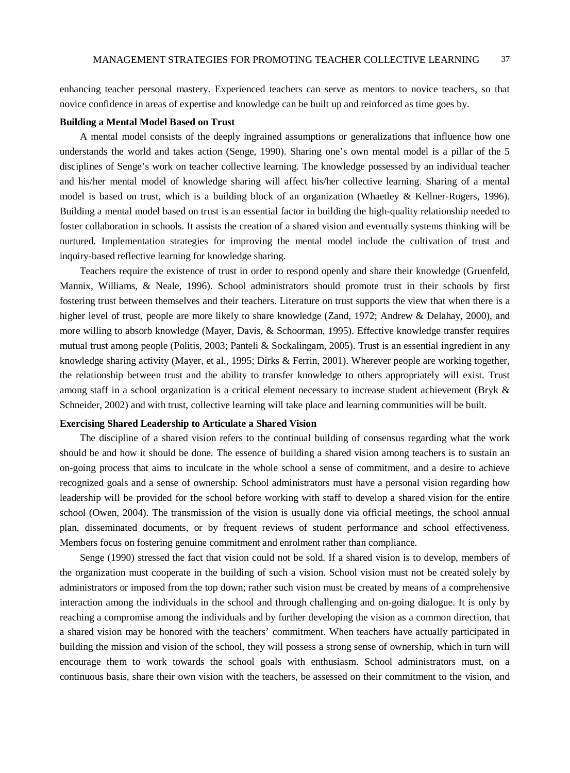enhancing teacher personal mastery. Experienced teachers can serve as mentors to novice teachers, so that novice confidence in areas of expertise and knowledge can be built up and reinforced as time goes by.

#### **Building a Mental Model Based on Trust**

A mental model consists of the deeply ingrained assumptions or generalizations that influence how one understands the world and takes action (Senge, 1990). Sharing one's own mental model is a pillar of the 5 disciplines of Senge's work on teacher collective learning. The knowledge possessed by an individual teacher and his/her mental model of knowledge sharing will affect his/her collective learning. Sharing of a mental model is based on trust, which is a building block of an organization (Whaetley & Kellner-Rogers, 1996). Building a mental model based on trust is an essential factor in building the high-quality relationship needed to foster collaboration in schools. It assists the creation of a shared vision and eventually systems thinking will be nurtured. Implementation strategies for improving the mental model include the cultivation of trust and inquiry-based reflective learning for knowledge sharing.

Teachers require the existence of trust in order to respond openly and share their knowledge (Gruenfeld, Mannix, Williams, & Neale, 1996). School administrators should promote trust in their schools by first fostering trust between themselves and their teachers. Literature on trust supports the view that when there is a higher level of trust, people are more likely to share knowledge (Zand, 1972; Andrew & Delahay, 2000), and more willing to absorb knowledge (Mayer, Davis, & Schoorman, 1995). Effective knowledge transfer requires mutual trust among people (Politis, 2003; Panteli & Sockalingam, 2005). Trust is an essential ingredient in any knowledge sharing activity (Mayer, et al., 1995; Dirks & Ferrin, 2001). Wherever people are working together, the relationship between trust and the ability to transfer knowledge to others appropriately will exist. Trust among staff in a school organization is a critical element necessary to increase student achievement (Bryk & Schneider, 2002) and with trust, collective learning will take place and learning communities will be built.

#### **Exercising Shared Leadership to Articulate a Shared Vision**

The discipline of a shared vision refers to the continual building of consensus regarding what the work should be and how it should be done. The essence of building a shared vision among teachers is to sustain an on-going process that aims to inculcate in the whole school a sense of commitment, and a desire to achieve recognized goals and a sense of ownership. School administrators must have a personal vision regarding how leadership will be provided for the school before working with staff to develop a shared vision for the entire school (Owen, 2004). The transmission of the vision is usually done via official meetings, the school annual plan, disseminated documents, or by frequent reviews of student performance and school effectiveness. Members focus on fostering genuine commitment and enrolment rather than compliance.

Senge (1990) stressed the fact that vision could not be sold. If a shared vision is to develop, members of the organization must cooperate in the building of such a vision. School vision must not be created solely by administrators or imposed from the top down; rather such vision must be created by means of a comprehensive interaction among the individuals in the school and through challenging and on-going dialogue. It is only by reaching a compromise among the individuals and by further developing the vision as a common direction, that a shared vision may be honored with the teachers' commitment. When teachers have actually participated in building the mission and vision of the school, they will possess a strong sense of ownership, which in turn will encourage them to work towards the school goals with enthusiasm. School administrators must, on a continuous basis, share their own vision with the teachers, be assessed on their commitment to the vision, and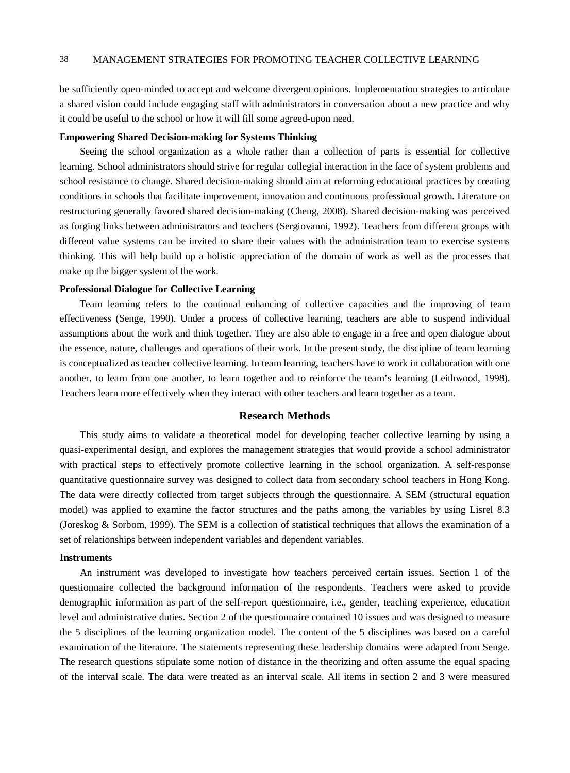be sufficiently open-minded to accept and welcome divergent opinions. Implementation strategies to articulate a shared vision could include engaging staff with administrators in conversation about a new practice and why it could be useful to the school or how it will fill some agreed-upon need.

### **Empowering Shared Decision-making for Systems Thinking**

Seeing the school organization as a whole rather than a collection of parts is essential for collective learning. School administrators should strive for regular collegial interaction in the face of system problems and school resistance to change. Shared decision-making should aim at reforming educational practices by creating conditions in schools that facilitate improvement, innovation and continuous professional growth. Literature on restructuring generally favored shared decision-making (Cheng, 2008). Shared decision-making was perceived as forging links between administrators and teachers (Sergiovanni, 1992). Teachers from different groups with different value systems can be invited to share their values with the administration team to exercise systems thinking. This will help build up a holistic appreciation of the domain of work as well as the processes that make up the bigger system of the work.

#### **Professional Dialogue for Collective Learning**

Team learning refers to the continual enhancing of collective capacities and the improving of team effectiveness (Senge, 1990). Under a process of collective learning, teachers are able to suspend individual assumptions about the work and think together. They are also able to engage in a free and open dialogue about the essence, nature, challenges and operations of their work. In the present study, the discipline of team learning is conceptualized as teacher collective learning. In team learning, teachers have to work in collaboration with one another, to learn from one another, to learn together and to reinforce the team's learning (Leithwood, 1998). Teachers learn more effectively when they interact with other teachers and learn together as a team.

# **Research Methods**

This study aims to validate a theoretical model for developing teacher collective learning by using a quasi-experimental design, and explores the management strategies that would provide a school administrator with practical steps to effectively promote collective learning in the school organization. A self-response quantitative questionnaire survey was designed to collect data from secondary school teachers in Hong Kong. The data were directly collected from target subjects through the questionnaire. A SEM (structural equation model) was applied to examine the factor structures and the paths among the variables by using Lisrel 8.3 (Joreskog & Sorbom, 1999). The SEM is a collection of statistical techniques that allows the examination of a set of relationships between independent variables and dependent variables.

#### **Instruments**

An instrument was developed to investigate how teachers perceived certain issues. Section 1 of the questionnaire collected the background information of the respondents. Teachers were asked to provide demographic information as part of the self-report questionnaire, i.e., gender, teaching experience, education level and administrative duties. Section 2 of the questionnaire contained 10 issues and was designed to measure the 5 disciplines of the learning organization model. The content of the 5 disciplines was based on a careful examination of the literature. The statements representing these leadership domains were adapted from Senge. The research questions stipulate some notion of distance in the theorizing and often assume the equal spacing of the interval scale. The data were treated as an interval scale. All items in section 2 and 3 were measured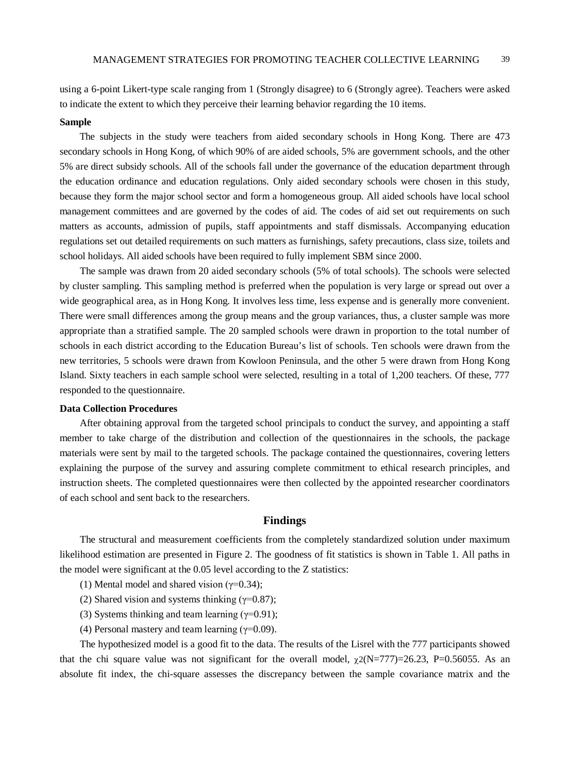using a 6-point Likert-type scale ranging from 1 (Strongly disagree) to 6 (Strongly agree). Teachers were asked to indicate the extent to which they perceive their learning behavior regarding the 10 items.

#### **Sample**

The subjects in the study were teachers from aided secondary schools in Hong Kong. There are 473 secondary schools in Hong Kong, of which 90% of are aided schools, 5% are government schools, and the other 5% are direct subsidy schools. All of the schools fall under the governance of the education department through the education ordinance and education regulations. Only aided secondary schools were chosen in this study, because they form the major school sector and form a homogeneous group. All aided schools have local school management committees and are governed by the codes of aid. The codes of aid set out requirements on such matters as accounts, admission of pupils, staff appointments and staff dismissals. Accompanying education regulations set out detailed requirements on such matters as furnishings, safety precautions, class size, toilets and school holidays. All aided schools have been required to fully implement SBM since 2000.

The sample was drawn from 20 aided secondary schools (5% of total schools). The schools were selected by cluster sampling. This sampling method is preferred when the population is very large or spread out over a wide geographical area, as in Hong Kong. It involves less time, less expense and is generally more convenient. There were small differences among the group means and the group variances, thus, a cluster sample was more appropriate than a stratified sample. The 20 sampled schools were drawn in proportion to the total number of schools in each district according to the Education Bureau's list of schools. Ten schools were drawn from the new territories, 5 schools were drawn from Kowloon Peninsula, and the other 5 were drawn from Hong Kong Island. Sixty teachers in each sample school were selected, resulting in a total of 1,200 teachers. Of these, 777 responded to the questionnaire.

#### **Data Collection Procedures**

After obtaining approval from the targeted school principals to conduct the survey, and appointing a staff member to take charge of the distribution and collection of the questionnaires in the schools, the package materials were sent by mail to the targeted schools. The package contained the questionnaires, covering letters explaining the purpose of the survey and assuring complete commitment to ethical research principles, and instruction sheets. The completed questionnaires were then collected by the appointed researcher coordinators of each school and sent back to the researchers.

#### **Findings**

The structural and measurement coefficients from the completely standardized solution under maximum likelihood estimation are presented in Figure 2. The goodness of fit statistics is shown in Table 1. All paths in the model were significant at the 0.05 level according to the Z statistics:

- (1) Mental model and shared vision ( $\gamma$ =0.34);
- (2) Shared vision and systems thinking  $(\gamma=0.87)$ ;
- (3) Systems thinking and team learning  $(\gamma=0.91)$ ;
- (4) Personal mastery and team learning  $(\gamma=0.09)$ .

The hypothesized model is a good fit to the data. The results of the Lisrel with the 777 participants showed that the chi square value was not significant for the overall model,  $\chi$ 2(N=777)=26.23, P=0.56055. As an absolute fit index, the chi-square assesses the discrepancy between the sample covariance matrix and the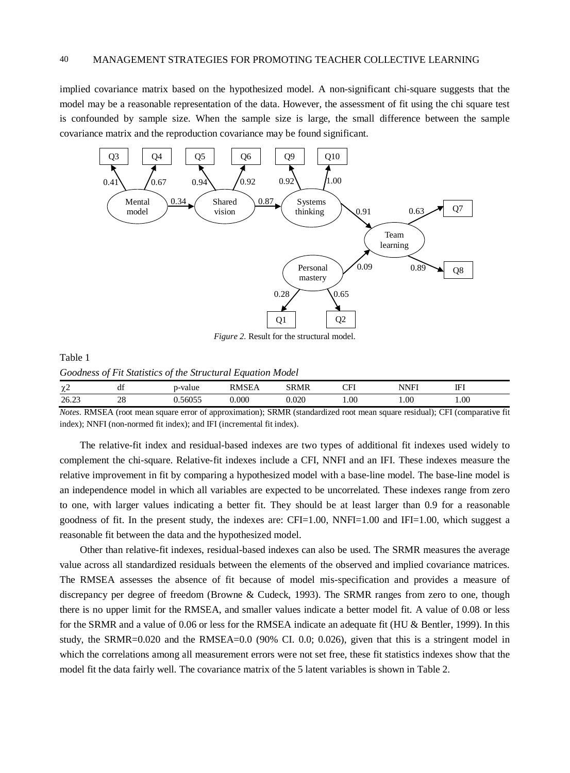implied covariance matrix based on the hypothesized model. A non-significant chi-square suggests that the model may be a reasonable representation of the data. However, the assessment of fit using the chi square test is confounded by sample size. When the sample size is large, the small difference between the sample covariance matrix and the reproduction covariance may be found significant.



*Figure 2.* Result for the structural model.

| Table 1                                                     |  |
|-------------------------------------------------------------|--|
| Goodness of Fit Statistics of the Structural Equation Model |  |

| $\sim$<br>$\mathcal{N}$ | đÌ             | value<br><b>TTO</b><br>. | $-$<br>н  | SRMR  | $\sim$ T<br>н | NINIEI<br>NNF | <b>TTI</b><br>…<br>щ, |
|-------------------------|----------------|--------------------------|-----------|-------|---------------|---------------|-----------------------|
| 26.23<br>____           | na<br>∠c<br>__ | 56055<br>10U3.           | $0.000\,$ | 0.020 | 1.00          | 0.01          | 0.001                 |

*Notes.* RMSEA (root mean square error of approximation); SRMR (standardized root mean square residual); CFI (comparative fit index); NNFI (non-normed fit index); and IFI (incremental fit index).

The relative-fit index and residual-based indexes are two types of additional fit indexes used widely to complement the chi-square. Relative-fit indexes include a CFI, NNFI and an IFI. These indexes measure the relative improvement in fit by comparing a hypothesized model with a base-line model. The base-line model is an independence model in which all variables are expected to be uncorrelated. These indexes range from zero to one, with larger values indicating a better fit. They should be at least larger than 0.9 for a reasonable goodness of fit. In the present study, the indexes are: CFI=1.00, NNFI=1.00 and IFI=1.00, which suggest a reasonable fit between the data and the hypothesized model.

Other than relative-fit indexes, residual-based indexes can also be used. The SRMR measures the average value across all standardized residuals between the elements of the observed and implied covariance matrices. The RMSEA assesses the absence of fit because of model mis-specification and provides a measure of discrepancy per degree of freedom (Browne & Cudeck, 1993). The SRMR ranges from zero to one, though there is no upper limit for the RMSEA, and smaller values indicate a better model fit. A value of 0.08 or less for the SRMR and a value of 0.06 or less for the RMSEA indicate an adequate fit (HU & Bentler, 1999). In this study, the SRMR=0.020 and the RMSEA=0.0 (90% CI. 0.0; 0.026), given that this is a stringent model in which the correlations among all measurement errors were not set free, these fit statistics indexes show that the model fit the data fairly well. The covariance matrix of the 5 latent variables is shown in Table 2.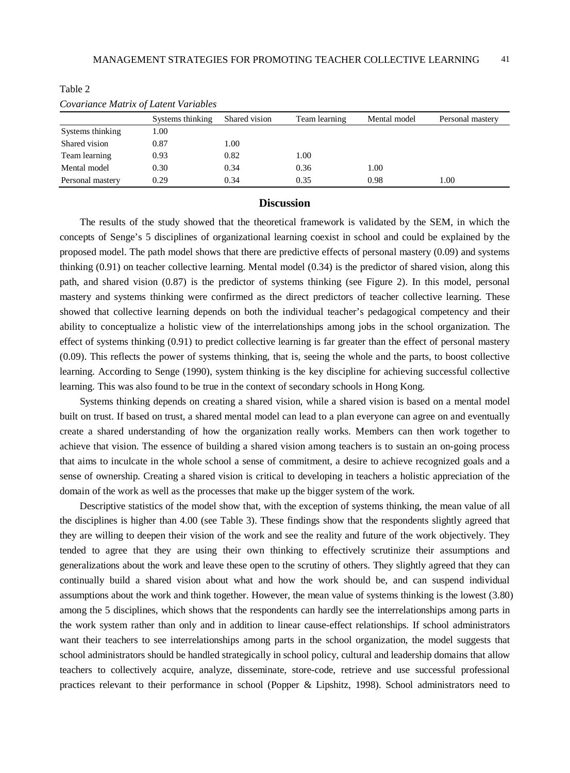| Covariance man a of Earlin variables |                  |               |               |              |                  |  |
|--------------------------------------|------------------|---------------|---------------|--------------|------------------|--|
|                                      | Systems thinking | Shared vision | Team learning | Mental model | Personal mastery |  |
| Systems thinking                     | 1.00             |               |               |              |                  |  |
| Shared vision                        | 0.87             | 1.00          |               |              |                  |  |
| Team learning                        | 0.93             | 0.82          | 1.00          |              |                  |  |
| Mental model                         | 0.30             | 0.34          | 0.36          | 1.00         |                  |  |
| Personal mastery                     | 0.29             | 0.34          | 0.35          | 0.98         | 1.00             |  |

Table 2

| Covariance Matrix of Latent Variables |  |  |  |
|---------------------------------------|--|--|--|
|---------------------------------------|--|--|--|

#### **Discussion**

The results of the study showed that the theoretical framework is validated by the SEM, in which the concepts of Senge's 5 disciplines of organizational learning coexist in school and could be explained by the proposed model. The path model shows that there are predictive effects of personal mastery (0.09) and systems thinking (0.91) on teacher collective learning. Mental model (0.34) is the predictor of shared vision, along this path, and shared vision (0.87) is the predictor of systems thinking (see Figure 2). In this model, personal mastery and systems thinking were confirmed as the direct predictors of teacher collective learning. These showed that collective learning depends on both the individual teacher's pedagogical competency and their ability to conceptualize a holistic view of the interrelationships among jobs in the school organization. The effect of systems thinking (0.91) to predict collective learning is far greater than the effect of personal mastery (0.09). This reflects the power of systems thinking, that is, seeing the whole and the parts, to boost collective learning. According to Senge (1990), system thinking is the key discipline for achieving successful collective learning. This was also found to be true in the context of secondary schools in Hong Kong.

Systems thinking depends on creating a shared vision, while a shared vision is based on a mental model built on trust. If based on trust, a shared mental model can lead to a plan everyone can agree on and eventually create a shared understanding of how the organization really works. Members can then work together to achieve that vision. The essence of building a shared vision among teachers is to sustain an on-going process that aims to inculcate in the whole school a sense of commitment, a desire to achieve recognized goals and a sense of ownership. Creating a shared vision is critical to developing in teachers a holistic appreciation of the domain of the work as well as the processes that make up the bigger system of the work.

Descriptive statistics of the model show that, with the exception of systems thinking, the mean value of all the disciplines is higher than 4.00 (see Table 3). These findings show that the respondents slightly agreed that they are willing to deepen their vision of the work and see the reality and future of the work objectively. They tended to agree that they are using their own thinking to effectively scrutinize their assumptions and generalizations about the work and leave these open to the scrutiny of others. They slightly agreed that they can continually build a shared vision about what and how the work should be, and can suspend individual assumptions about the work and think together. However, the mean value of systems thinking is the lowest (3.80) among the 5 disciplines, which shows that the respondents can hardly see the interrelationships among parts in the work system rather than only and in addition to linear cause-effect relationships. If school administrators want their teachers to see interrelationships among parts in the school organization, the model suggests that school administrators should be handled strategically in school policy, cultural and leadership domains that allow teachers to collectively acquire, analyze, disseminate, store-code, retrieve and use successful professional practices relevant to their performance in school (Popper & Lipshitz, 1998). School administrators need to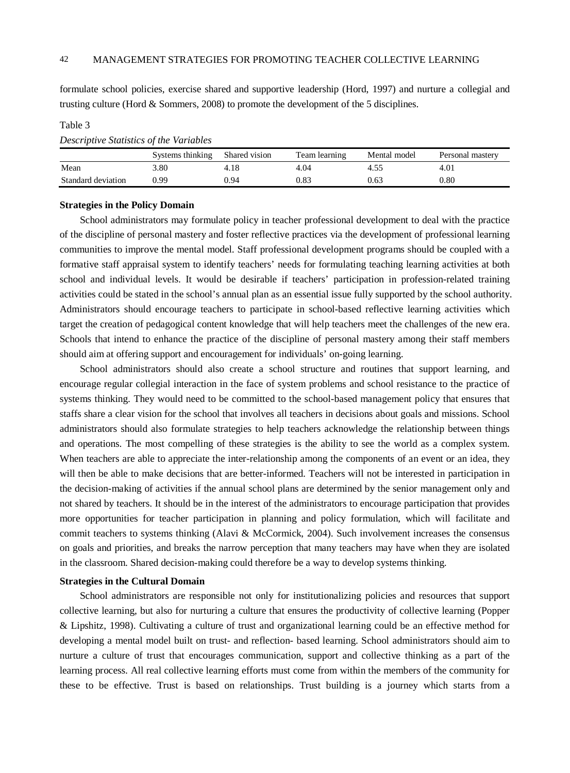formulate school policies, exercise shared and supportive leadership (Hord, 1997) and nurture a collegial and trusting culture (Hord & Sommers, 2008) to promote the development of the 5 disciplines.

# Table 3

# *Descriptive Statistics of the Variables*

|                    | Systems thinking | Shared vision | Team learning | Mental model | Personal mastery |
|--------------------|------------------|---------------|---------------|--------------|------------------|
| Mean               | 3.80             | 4.18          | 4.04          |              | 4.01             |
| Standard deviation | 0.99             | 0.94          | 0.83          | 0.63         | $0.80\,$         |

#### **Strategies in the Policy Domain**

School administrators may formulate policy in teacher professional development to deal with the practice of the discipline of personal mastery and foster reflective practices via the development of professional learning communities to improve the mental model. Staff professional development programs should be coupled with a formative staff appraisal system to identify teachers' needs for formulating teaching learning activities at both school and individual levels. It would be desirable if teachers' participation in profession-related training activities could be stated in the school's annual plan as an essential issue fully supported by the school authority. Administrators should encourage teachers to participate in school-based reflective learning activities which target the creation of pedagogical content knowledge that will help teachers meet the challenges of the new era. Schools that intend to enhance the practice of the discipline of personal mastery among their staff members should aim at offering support and encouragement for individuals' on-going learning.

School administrators should also create a school structure and routines that support learning, and encourage regular collegial interaction in the face of system problems and school resistance to the practice of systems thinking. They would need to be committed to the school-based management policy that ensures that staffs share a clear vision for the school that involves all teachers in decisions about goals and missions. School administrators should also formulate strategies to help teachers acknowledge the relationship between things and operations. The most compelling of these strategies is the ability to see the world as a complex system. When teachers are able to appreciate the inter-relationship among the components of an event or an idea, they will then be able to make decisions that are better-informed. Teachers will not be interested in participation in the decision-making of activities if the annual school plans are determined by the senior management only and not shared by teachers. It should be in the interest of the administrators to encourage participation that provides more opportunities for teacher participation in planning and policy formulation, which will facilitate and commit teachers to systems thinking (Alavi & McCormick, 2004). Such involvement increases the consensus on goals and priorities, and breaks the narrow perception that many teachers may have when they are isolated in the classroom. Shared decision-making could therefore be a way to develop systems thinking.

## **Strategies in the Cultural Domain**

School administrators are responsible not only for institutionalizing policies and resources that support collective learning, but also for nurturing a culture that ensures the productivity of collective learning (Popper & Lipshitz, 1998). Cultivating a culture of trust and organizational learning could be an effective method for developing a mental model built on trust- and reflection- based learning. School administrators should aim to nurture a culture of trust that encourages communication, support and collective thinking as a part of the learning process. All real collective learning efforts must come from within the members of the community for these to be effective. Trust is based on relationships. Trust building is a journey which starts from a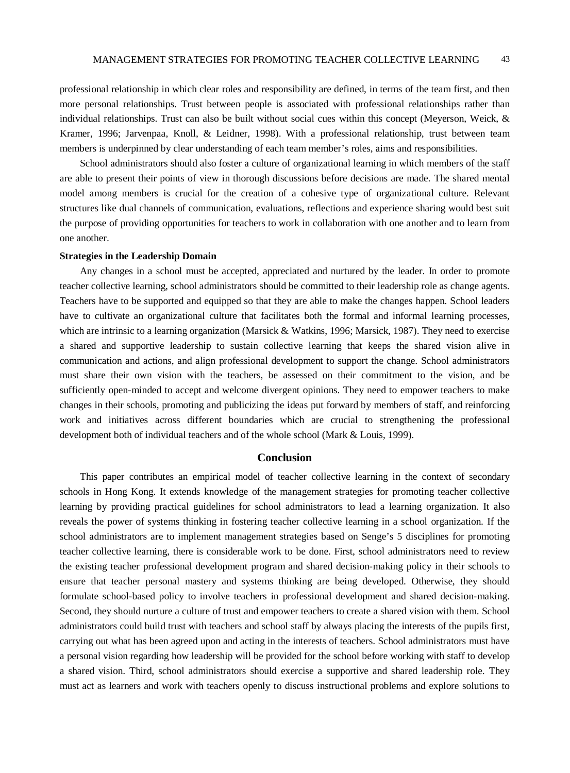professional relationship in which clear roles and responsibility are defined, in terms of the team first, and then more personal relationships. Trust between people is associated with professional relationships rather than individual relationships. Trust can also be built without social cues within this concept (Meyerson, Weick, & Kramer, 1996; Jarvenpaa, Knoll, & Leidner, 1998). With a professional relationship, trust between team members is underpinned by clear understanding of each team member's roles, aims and responsibilities.

School administrators should also foster a culture of organizational learning in which members of the staff are able to present their points of view in thorough discussions before decisions are made. The shared mental model among members is crucial for the creation of a cohesive type of organizational culture. Relevant structures like dual channels of communication, evaluations, reflections and experience sharing would best suit the purpose of providing opportunities for teachers to work in collaboration with one another and to learn from one another.

#### **Strategies in the Leadership Domain**

Any changes in a school must be accepted, appreciated and nurtured by the leader. In order to promote teacher collective learning, school administrators should be committed to their leadership role as change agents. Teachers have to be supported and equipped so that they are able to make the changes happen. School leaders have to cultivate an organizational culture that facilitates both the formal and informal learning processes, which are intrinsic to a learning organization (Marsick & Watkins, 1996; Marsick, 1987). They need to exercise a shared and supportive leadership to sustain collective learning that keeps the shared vision alive in communication and actions, and align professional development to support the change. School administrators must share their own vision with the teachers, be assessed on their commitment to the vision, and be sufficiently open-minded to accept and welcome divergent opinions. They need to empower teachers to make changes in their schools, promoting and publicizing the ideas put forward by members of staff, and reinforcing work and initiatives across different boundaries which are crucial to strengthening the professional development both of individual teachers and of the whole school (Mark & Louis, 1999).

## **Conclusion**

This paper contributes an empirical model of teacher collective learning in the context of secondary schools in Hong Kong. It extends knowledge of the management strategies for promoting teacher collective learning by providing practical guidelines for school administrators to lead a learning organization. It also reveals the power of systems thinking in fostering teacher collective learning in a school organization. If the school administrators are to implement management strategies based on Senge's 5 disciplines for promoting teacher collective learning, there is considerable work to be done. First, school administrators need to review the existing teacher professional development program and shared decision-making policy in their schools to ensure that teacher personal mastery and systems thinking are being developed. Otherwise, they should formulate school-based policy to involve teachers in professional development and shared decision-making. Second, they should nurture a culture of trust and empower teachers to create a shared vision with them. School administrators could build trust with teachers and school staff by always placing the interests of the pupils first, carrying out what has been agreed upon and acting in the interests of teachers. School administrators must have a personal vision regarding how leadership will be provided for the school before working with staff to develop a shared vision. Third, school administrators should exercise a supportive and shared leadership role. They must act as learners and work with teachers openly to discuss instructional problems and explore solutions to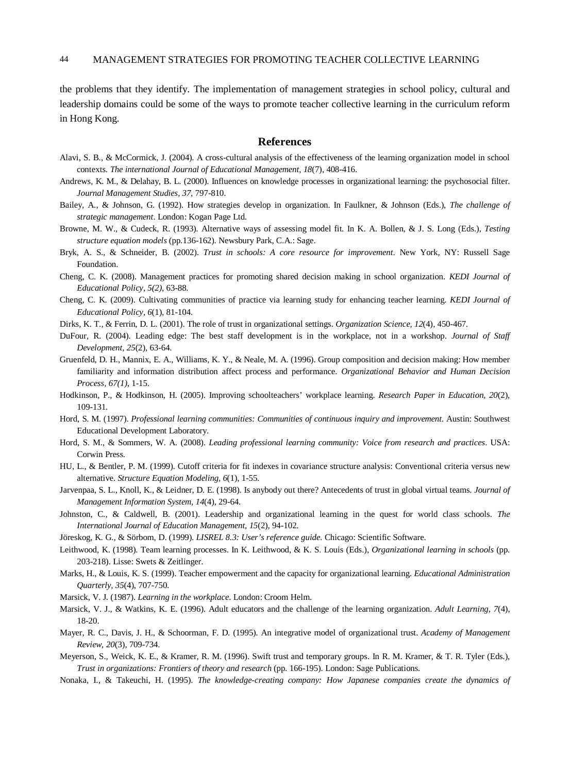the problems that they identify. The implementation of management strategies in school policy, cultural and leadership domains could be some of the ways to promote teacher collective learning in the curriculum reform in Hong Kong.

#### **References**

- Alavi, S. B., & McCormick, J. (2004). A cross-cultural analysis of the effectiveness of the learning organization model in school contexts. *The international Journal of Educational Management, 18*(7), 408-416.
- Andrews, K. M., & Delahay, B. L. (2000). Influences on knowledge processes in organizational learning: the psychosocial filter. *Journal Management Studies, 37*, 797-810.
- Bailey, A., & Johnson, G. (1992). How strategies develop in organization. In Faulkner, & Johnson (Eds.), *The challenge of strategic management*. London: Kogan Page Ltd.
- Browne, M. W., & Cudeck, R. (1993). Alternative ways of assessing model fit. In K. A. Bollen, & J. S. Long (Eds.), *Testing structure equation models* (pp.136-162). Newsbury Park, C.A.: Sage.
- Bryk, A. S., & Schneider, B. (2002). *Trust in schools: A core resource for improvement*. New York, NY: Russell Sage Foundation.
- Cheng, C. K. (2008). Management practices for promoting shared decision making in school organization. *KEDI Journal of Educational Policy, 5(2)*, 63-88.
- Cheng, C. K. (2009). Cultivating communities of practice via learning study for enhancing teacher learning. *KEDI Journal of Educational Policy, 6*(1), 81-104.
- Dirks, K. T., & Ferrin, D. L. (2001). The role of trust in organizational settings. *Organization Science, 12*(4), 450-467.
- DuFour, R. (2004). Leading edge: The best staff development is in the workplace, not in a workshop. *Journal of Staff Development, 25*(2), 63-64.
- Gruenfeld, D. H., Mannix, E. A., Williams, K. Y., & Neale, M. A. (1996). Group composition and decision making: How member familiarity and information distribution affect process and performance. *Organizational Behavior and Human Decision Process, 67(1)*, 1-15.
- Hodkinson, P., & Hodkinson, H. (2005). Improving schoolteachers' workplace learning. *Research Paper in Education, 20*(2), 109-131.
- Hord, S. M. (1997). *Professional learning communities: Communities of continuous inquiry and improvement.* Austin: Southwest Educational Development Laboratory.
- Hord, S. M., & Sommers, W. A. (2008). *Leading professional learning community: Voice from research and practices*. USA: Corwin Press.
- HU, L., & Bentler, P. M. (1999). Cutoff criteria for fit indexes in covariance structure analysis: Conventional criteria versus new alternative. *Structure Equation Modeling, 6*(1), 1-55.
- Jarvenpaa, S. L., Knoll, K., & Leidner, D. E. (1998). Is anybody out there? Antecedents of trust in global virtual teams. *Journal of Management Information System, 14*(4), 29-64.
- Johnston, C., & Caldwell, B. (2001). Leadership and organizational learning in the quest for world class schools. *The International Journal of Education Management, 15*(2), 94-102.
- Jöreskog, K. G., & Sörbom, D. (1999). *LISREL 8.3: User's reference guide*. Chicago: Scientific Software.
- Leithwood, K. (1998). Team learning processes. In K. Leithwood, & K. S. Louis (Eds.), *Organizational learning in schools* (pp. 203-218). Lisse: Swets & Zeitlinger.
- Marks, H., & Louis, K. S. (1999). Teacher empowerment and the capacity for organizational learning. *Educational Administration Quarterly, 35*(4), 707-750.
- Marsick, V. J. (1987). *Learning in the workplace*. London: Croom Helm.
- Marsick, V. J., & Watkins, K. E. (1996). Adult educators and the challenge of the learning organization. *Adult Learning, 7*(4), 18-20.
- Mayer, R. C., Davis, J. H., & Schoorman, F. D. (1995). An integrative model of organizational trust. *Academy of Management Review, 20*(3), 709-734.
- Meyerson, S., Weick, K. E., & Kramer, R. M. (1996). Swift trust and temporary groups. In R. M. Kramer, & T. R. Tyler (Eds.), *Trust in organizations: Frontiers of theory and research* (pp. 166-195). London: Sage Publications.
- Nonaka, I., & Takeuchi, H. (1995). *The knowledge-creating company: How Japanese companies create the dynamics of*